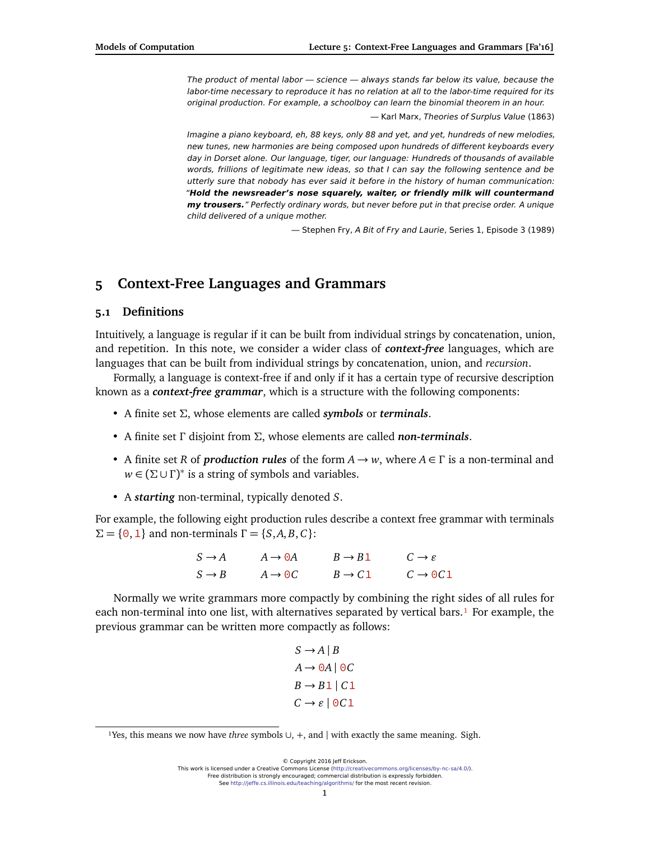The product of mental labor — science — always stands far below its value, because the labor-time necessary to reproduce it has no relation at all to the labor-time required for its original production. For example, a schoolboy can learn the binomial theorem in an hour.

— Karl Marx, Theories of Surplus Value (1863)

Imagine a piano keyboard, eh, 88 keys, only 88 and yet, and yet, hundreds of new melodies, new tunes, new harmonies are being composed upon hundreds of different keyboards every day in Dorset alone. Our language, tiger, our language: Hundreds of thousands of available words, frillions of legitimate new ideas, so that I can say the following sentence and be utterly sure that nobody has ever said it before in the history of human communication: "**Hold the newsreader's nose squarely, waiter, or friendly milk will countermand my trousers.**" Perfectly ordinary words, but never before put in that precise order. A unique child delivered of a unique mother.

— Stephen Fry, A Bit of Fry and Laurie, Series 1, Episode 3 (1989)

# **5 Context-Free Languages and Grammars**

# **5.1 Definitions**

Intuitively, a language is regular if it can be built from individual strings by concatenation, union, and repetition. In this note, we consider a wider class of *context-free* languages, which are languages that can be built from individual strings by concatenation, union, and *recursion*.

Formally, a language is context-free if and only if it has a certain type of recursive description known as a *context-free grammar*, which is a structure with the following components:

- A finite set *Σ*, whose elements are called *symbols* or *terminals*.
- A finite set *Γ* disjoint from *Σ*, whose elements are called *non-terminals*.
- A finite set *R* of *production rules* of the form *A* → *w*, where *A* ∈ *Γ* is a non-terminal and  $w \in (\Sigma \cup \Gamma)^*$  is a string of symbols and variables.
- A *starting* non-terminal, typically denoted *S*.

For example, the following eight production rules describe a context free grammar with terminals *Σ* = { $\Theta$ , **1**} and non-terminals  $Γ = \{S, A, B, C\}$ :

> $S \rightarrow A$   $A \rightarrow \Theta A$   $B \rightarrow B1$   $C \rightarrow \varepsilon$  $S \rightarrow B$   $A \rightarrow \Theta C$   $B \rightarrow C1$   $C \rightarrow \Theta C1$

Normally we write grammars more compactly by combining the right sides of all rules for each non-terminal into one list, with alternatives separated by vertical bars.<sup>1</sup> For example, the previous grammar can be written more compactly as follows:

$$
S \rightarrow A | B
$$

$$
A \rightarrow 0A | 0C
$$

$$
B \rightarrow B1 | C1
$$

$$
C \rightarrow \varepsilon | 0C1
$$

© Copyright 2016 Jeff Erickson. This work is licensed under a Creative Commons License [\(http://creativecommons.org/licenses/by-nc-sa/4.0/\)](http://creativecommons.org/licenses/by-nc-sa/4.0/). Free distribution is strongly encouraged; commercial distribution is expressly forbidden. See <http://jeffe.cs.illinois.edu/teaching/algorithms/> for the most recent revision.

<span id="page-0-0"></span><sup>&</sup>lt;sup>1</sup>Yes, this means we now have *three* symbols ∪, +, and | with exactly the same meaning. Sigh.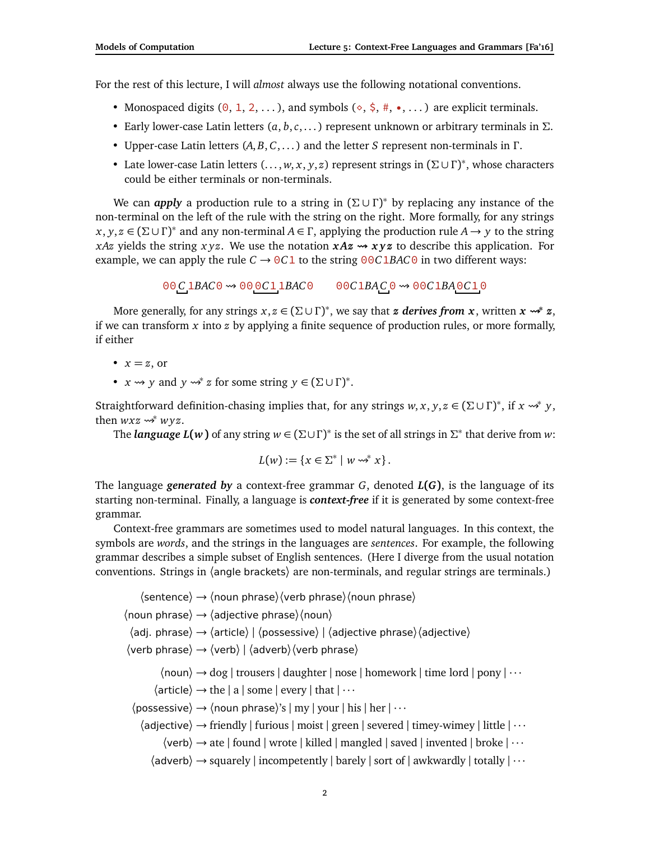For the rest of this lecture, I will *almost* always use the following notational conventions.

- Monospaced digits  $(0, 1, 2, ...)$ , and symbols  $(0, \frac{1}{2}, \frac{1}{2}, ...)$  are explicit terminals.
- Early lower-case Latin letters (*a*, *b*,*c*, . . . ) represent unknown or arbitrary terminals in *Σ*.
- Upper-case Latin letters (*A*, *B*, *C*, . . . ) and the letter *S* represent non-terminals in *Γ* .
- Late lower-case Latin letters (. . . , *w*, *x*, *y*, *z*) represent strings in (*Σ* ∪ *Γ* ) ∗ , whose characters could be either terminals or non-terminals.

We can *apply* a production rule to a string in  $(Σ ∪ Γ)<sup>∗</sup>$  by replacing any instance of the non-terminal on the left of the rule with the string on the right. More formally, for any strings  $x, y, z \in (\Sigma \cup \Gamma)^*$  and any non-terminal  $A \in \Gamma$ , applying the production rule  $A \to y$  to the string *xAz* yields the string *xyz*. We use the notation  $xAx \rightarrow xyz$  to describe this application. For example, we can apply the rule  $C \rightarrow 0 \cdot C1$  to the string  $0 \cdot 0 \cdot C1 B A C 0$  in two different ways:

00 *C* 1*BAC*0 000*C*11*BAC*0 00*C*1*BAC* 0 00*C*1*BA*0*C*10

More generally, for any strings *x*, *z* ∈ (*Σ* ∪ *Γ* ) ∗ , we say that *z derives from x*, written *x*  **<sup>∗</sup>** *z*, if we can transform *x* into *z* by applying a finite sequence of production rules, or more formally, if either

• 
$$
x = z
$$
, or

•  $x \rightsquigarrow y$  and  $y \rightsquigarrow^* z$  for some string  $y \in (\Sigma \cup \Gamma)^*$ .

Straightforward definition-chasing implies that, for any strings  $w, x, y, z \in (\Sigma \cup \Gamma)^*$ , if  $x \rightsquigarrow^* y$ , then  $wxz \rightsquigarrow^* wyz$ .

The *language L*( $w$ ) of any string  $w \in (\Sigma \cup \Gamma)^*$  is the set of all strings in  $\Sigma^*$  that derive from  $w$ :

$$
L(w) := \{x \in \Sigma^* \mid w \rightsquigarrow^* x\}.
$$

The language *generated by* a context-free grammar *G*, denoted *L***(***G***)**, is the language of its starting non-terminal. Finally, a language is *context-free* if it is generated by some context-free grammar.

Context-free grammars are sometimes used to model natural languages. In this context, the symbols are *words*, and the strings in the languages are *sentences*. For example, the following grammar describes a simple subset of English sentences. (Here I diverge from the usual notation conventions. Strings in 〈angle brackets〉 are non-terminals, and regular strings are terminals.)

```
\langlesentence\rangle \rightarrow \langlenoun phrase\rangle \langleverb phrase\rangle \langlenoun phrase\rangle\langle noun phrase\rangle \rightarrow \langle adjective phrase\rangle \langle noun\rangle\langleadj. phrase\rangle \rightarrow \langlearticle\rangle | \langlepossessive\rangle | \langleadjective phrase\rangle\langleadjective\rangle\langleverb phrase\rangle \rightarrow \langleverb\rangle | \langleadverb\rangle\langleverb phrase\rangle\langle noun\rangle \rightarrow dog | trousers | daughter | nose | homework | time lord | pony | \cdots\langle article\rangle \rightarrow the | a | some | every | that | \cdots\langle possessive\rangle \rightarrow \langle noun phrase\rangle's | my | your | his | her | \cdots\langle adjective\rangle \rightarrow friendly | furious | moist | green | severed | timey-wimey | little | \cdots\langleverb\rangle \rightarrow ate | found | wrote | killed | mangled | saved | invented | broke | \cdots\langleadverb\rangle \rightarrow squarely | incompetently | barely | sort of | awkwardly | totally | \cdots
```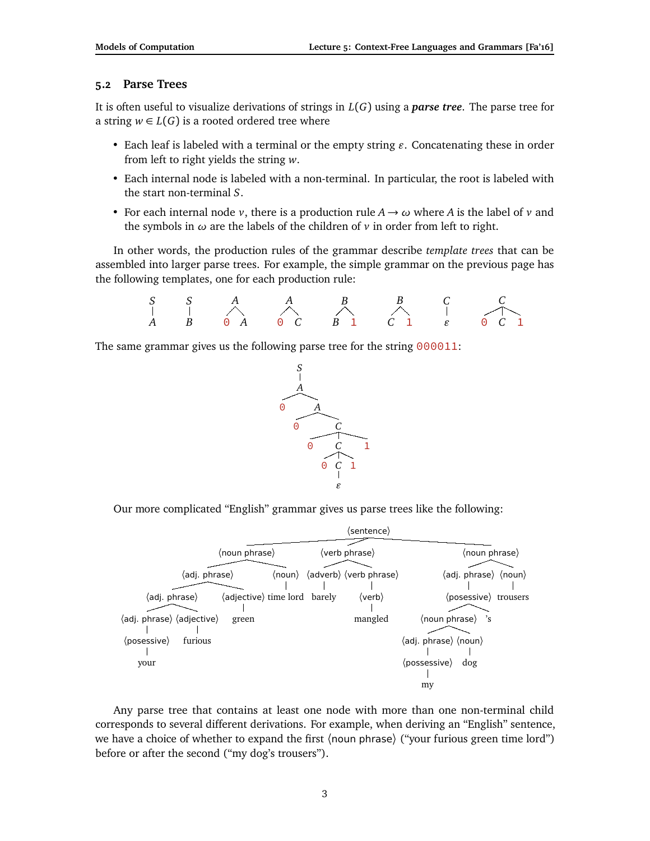# **5.2 Parse Trees**

It is often useful to visualize derivations of strings in *L*(*G*) using a *parse tree*. The parse tree for a string  $w \in L(G)$  is a rooted ordered tree where

- Each leaf is labeled with a terminal or the empty string  $\varepsilon$ . Concatenating these in order from left to right yields the string *w*.
- Each internal node is labeled with a non-terminal. In particular, the root is labeled with the start non-terminal *S*.
- For each internal node *v*, there is a production rule  $A \rightarrow \omega$  where *A* is the label of *v* and the symbols in *ω* are the labels of the children of *v* in order from left to right.

In other words, the production rules of the grammar describe *template trees* that can be assembled into larger parse trees. For example, the simple grammar on the previous page has the following templates, one for each production rule:

*S A S B A* 0 *A A* 0 *C B B* 1 *B C* 1 *C " C* 0 *C* 1

The same grammar gives us the following parse tree for the string 000011:



Our more complicated "English" grammar gives us parse trees like the following:



Any parse tree that contains at least one node with more than one non-terminal child corresponds to several different derivations. For example, when deriving an "English" sentence, we have a choice of whether to expand the first (noun phrase) ("your furious green time lord") before or after the second ("my dog's trousers").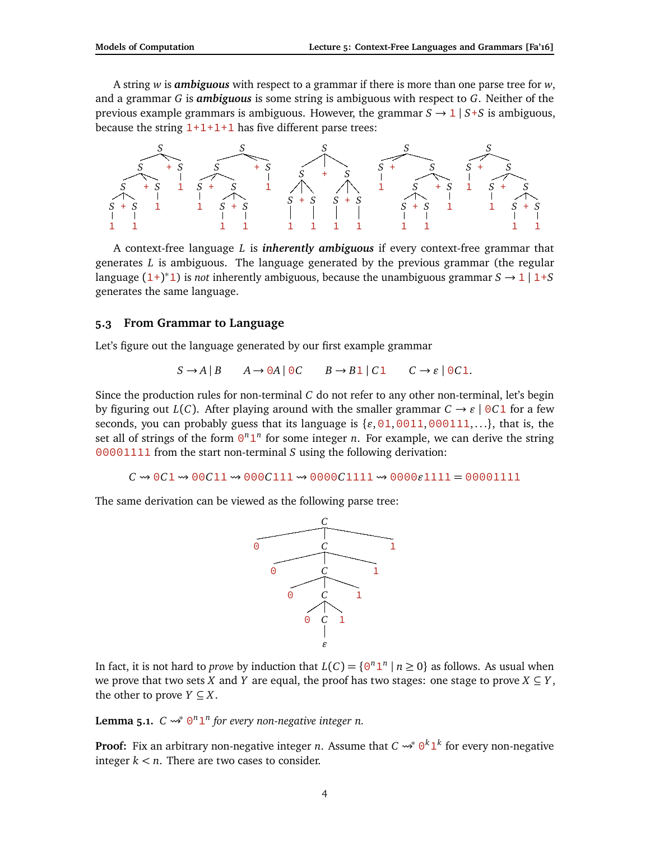A string *w* is *ambiguous* with respect to a grammar if there is more than one parse tree for *w*, and a grammar *G* is *ambiguous* is some string is ambiguous with respect to *G*. Neither of the previous example grammars is ambiguous. However, the grammar  $S \rightarrow 1 \mid S+S$  is ambiguous, because the string  $1+1+1+1$  has five different parse trees:



A context-free language *L* is *inherently ambiguous* if every context-free grammar that generates *L* is ambiguous. The language generated by the previous grammar (the regular language  $(1+)^*1$ ) is *not* inherently ambiguous, because the unambiguous grammar  $S \to 1/1+S$ generates the same language.

#### **5.3 From Grammar to Language**

Let's figure out the language generated by our first example grammar

$$
S \to A \mid B \qquad A \to 0A \mid 0C \qquad B \to B1 \mid C1 \qquad C \to \varepsilon \mid 0C1.
$$

Since the production rules for non-terminal *C* do not refer to any other non-terminal, let's begin by figuring out  $L(C)$ . After playing around with the smaller grammar  $C \rightarrow \varepsilon \mid 0 \in \mathbb{R}$  for a few seconds, you can probably guess that its language is  $\{ \epsilon, 01,0011,000111, ...\}$ , that is, the set all of strings of the form  $\Theta^n \mathbf{1}^n$  for some integer *n*. For example, we can derive the string 00001111 from the start non-terminal *S* using the following derivation:

 $C \rightsquigarrow 0 C1 \rightsquigarrow 00 C11 \rightsquigarrow 000 C111 \rightsquigarrow 0000 C1111 \rightsquigarrow 0000011111 = 000011111$ 

The same derivation can be viewed as the following parse tree:



In fact, it is not hard to *prove* by induction that  $L(C) = \{0^n 1^n \mid n \ge 0\}$  as follows. As usual when we prove that two sets *X* and *Y* are equal, the proof has two stages: one stage to prove  $X \subseteq Y$ , the other to prove  $Y \subseteq X$ .

**Lemma 5.1.**  $C \rightsquigarrow^* 0^n 1^n$  for every non-negative integer n.

**Proof:** Fix an arbitrary non-negative integer *n*. Assume that  $C \rightsquigarrow^* 0^k 1^k$  for every non-negative integer  $k < n$ . There are two cases to consider.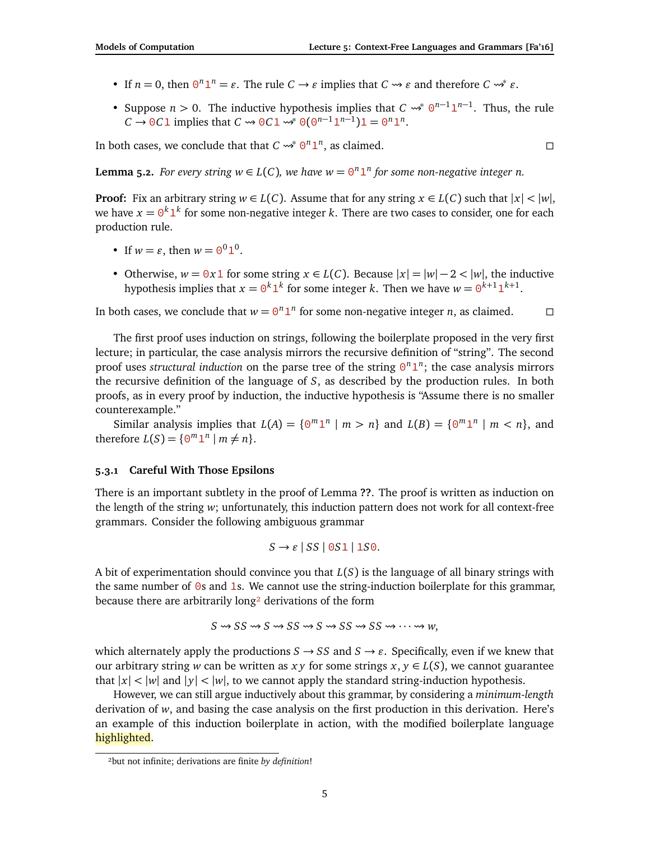- If  $n = 0$ , then  $\Theta^n \mathbf{1}^n = \varepsilon$ . The rule  $C \to \varepsilon$  implies that  $C \to \varepsilon$  and therefore  $C \to \varepsilon$ .
- Suppose  $n > 0$ . The inductive hypothesis implies that  $C \rightsquigarrow^* 0^{n-1} 1^{n-1}$ . Thus, the rule  $C \to 0C1$  implies that  $C \to 0C1 \stackrel{\rightarrow}{\to} 0(0^{n-1}1^{n-1})1 = 0^n1^n$ .

In both cases, we conclude that that  $C \rightsquigarrow^* 0^n 1^n$ , as claimed.

**Lemma 5.2.** *For every string*  $w \in L(C)$ *, we have*  $w = \theta^n 1^n$  *for some non-negative integer n.* 

**Proof:** Fix an arbitrary string  $w \in L(C)$ . Assume that for any string  $x \in L(C)$  such that  $|x| < |w|$ , we have  $x = 0^k 1^k$  for some non-negative integer  $k$ . There are two cases to consider, one for each production rule.

- If  $w = \varepsilon$ , then  $w = \Theta^0 \mathbb{1}^0$ .
- Otherwise,  $w = 0x1$  for some string  $x \in L(C)$ . Because  $|x| = |w| 2 < |w|$ , the inductive hypothesis implies that  $x = 0^k 1^k$  for some integer *k*. Then we have  $w = 0^{k+1} 1^{k+1}$ .

In both cases, we conclude that  $w = \Theta^n \mathbf{1}^n$  for some non-negative integer *n*, as claimed.  $\square$ 

The first proof uses induction on strings, following the boilerplate proposed in the very first lecture; in particular, the case analysis mirrors the recursive definition of "string". The second proof uses *structural induction* on the parse tree of the string  $\Theta^n \mathbf{1}^n$ ; the case analysis mirrors the recursive definition of the language of *S*, as described by the production rules. In both proofs, as in every proof by induction, the inductive hypothesis is "Assume there is no smaller counterexample."

Similar analysis implies that  $L(A) = \{0^m 1^n | m > n\}$  and  $L(B) = \{0^m 1^n | m < n\}$ , and therefore  $L(S) = \{0^m 1^n \mid m \neq n\}.$ 

#### **5.3.1 Careful With Those Epsilons**

There is an important subtlety in the proof of Lemma **??**. The proof is written as induction on the length of the string *w*; unfortunately, this induction pattern does not work for all context-free grammars. Consider the following ambiguous grammar

$$
S \to \varepsilon \mid SS \mid 0S1 \mid 1S0.
$$

A bit of experimentation should convince you that *L*(*S*) is the language of all binary strings with the same number of  $\ddot{\text{o}}s$  and 1s. We cannot use the string-induction boilerplate for this grammar, because there are arbitrarily long<sup>2</sup> derivations of the form

$$
S \rightsquigarrow SS \rightsquigarrow S \rightsquigarrow SS \rightsquigarrow S S \rightsquigarrow SS \rightsquigarrow \cdots \rightsquigarrow w,
$$

which alternately apply the productions  $S \rightarrow SS$  and  $S \rightarrow \varepsilon$ . Specifically, even if we knew that our arbitrary string *w* can be written as *x y* for some strings  $x, y \in L(S)$ , we cannot guarantee that  $|x| < |w|$  and  $|y| < |w|$ , to we cannot apply the standard string-induction hypothesis.

However, we can still argue inductively about this grammar, by considering a *minimum-length* derivation of *w*, and basing the case analysis on the first production in this derivation. Here's an example of this induction boilerplate in action, with the modified boilerplate language highlighted.

$$
\Box
$$

<span id="page-4-0"></span>²but not infinite; derivations are finite *by definition*!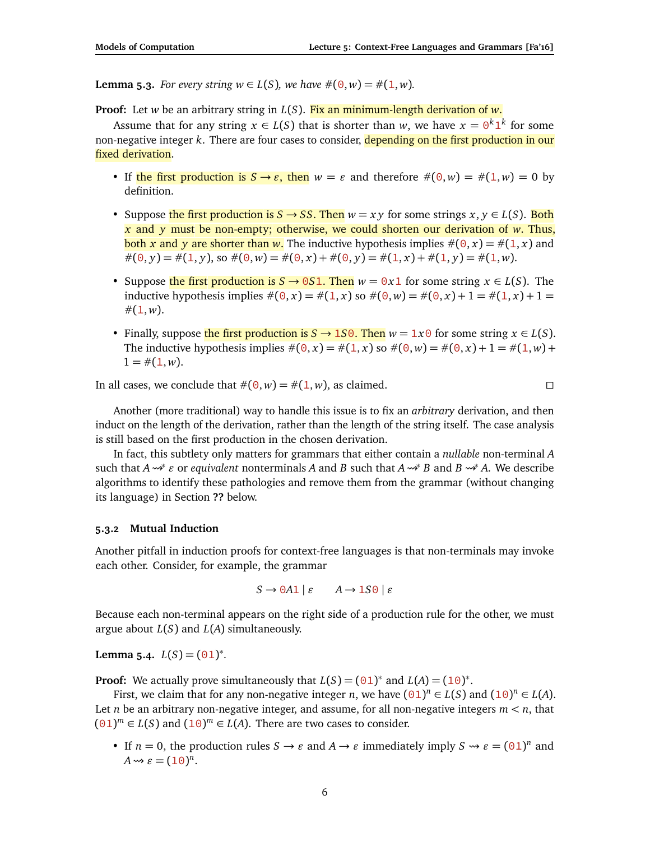**Lemma 5.3.** *For every string*  $w \in L(S)$ *, we have*  $\#(0, w) = \#(1, w)$ *.* 

**Proof:** Let *w* be an arbitrary string in *L*(*S*). Fix an minimum-length derivation of *w*.

Assume that for any string  $x \in L(S)$  that is shorter than *w*, we have  $x = 0^k 1^k$  for some non-negative integer *k*. There are four cases to consider, depending on the first production in our fixed derivation.

- If the first production is  $S \rightarrow \varepsilon$ , then  $w = \varepsilon$  and therefore  $\#(0, w) = \#(1, w) = 0$  by definition.
- Suppose the first production is  $S \to SS$ . Then  $w = xy$  for some strings  $x, y \in L(S)$ . Both *x* and *y* must be non-empty; otherwise, we could shorten our derivation of *w*. Thus, both x and y are shorter than w. The inductive hypothesis implies  $\#(0, x) = \#(1, x)$  and  $\#(0, y) = \#(1, y)$ , so  $\#(0, w) = \#(0, x) + \#(0, y) = \#(1, x) + \#(1, y) = \#(1, w)$ .
- Suppose the first production is  $S \to 0S1$ . Then  $w = 0x1$  for some string  $x \in L(S)$ . The inductive hypothesis implies  $\#(0, x) = \#(1, x)$  so  $\#(0, w) = \#(0, x) + 1 = \#(1, x) + 1 =$  $\#(1,w)$ .
- Finally, suppose the first production is  $S \to 1S0$ . Then  $w = 1x0$  for some string  $x \in L(S)$ . The inductive hypothesis implies  $\#(0, x) = \#(1, x)$  so  $\#(0, w) = \#(0, x) + 1 = \#(1, w) +$  $1 = \#(1, w)$ .

In all cases, we conclude that  $\#(\Theta, w) = \#(\mathbf{1}, w)$ , as claimed.

$$
\Box
$$

Another (more traditional) way to handle this issue is to fix an *arbitrary* derivation, and then induct on the length of the derivation, rather than the length of the string itself. The case analysis is still based on the first production in the chosen derivation.

In fact, this subtlety only matters for grammars that either contain a *nullable* non-terminal *A* such that *A* <sup>∗</sup> *"* or *equivalent* nonterminals *A* and *B* such that *A* <sup>∗</sup> *B* and *B* <sup>∗</sup> *A*. We describe algorithms to identify these pathologies and remove them from the grammar (without changing its language) in Section **??** below.

### **5.3.2 Mutual Induction**

Another pitfall in induction proofs for context-free languages is that non-terminals may invoke each other. Consider, for example, the grammar

$$
S \to 0A1 \mid \varepsilon \qquad A \to 1S0 \mid \varepsilon
$$

Because each non-terminal appears on the right side of a production rule for the other, we must argue about *L*(*S*) and *L*(*A*) simultaneously.

**Lemma 5.4.**  $L(S) = (01)^{*}$ .

**Proof:** We actually prove simultaneously that  $L(S) = (01)^*$  and  $L(A) = (10)^*$ .

First, we claim that for any non-negative integer *n*, we have  $(01)^n \in L(S)$  and  $(10)^n \in L(A)$ . Let *n* be an arbitrary non-negative integer, and assume, for all non-negative integers  $m < n$ , that  $(01)^m \in L(S)$  and  $(10)^m \in L(A)$ . There are two cases to consider.

• If *n* = 0, the production rules  $S \to \varepsilon$  and  $A \to \varepsilon$  immediately imply  $S \to \varepsilon = (01)^n$  and  $A \rightsquigarrow \varepsilon = (10)^n$ .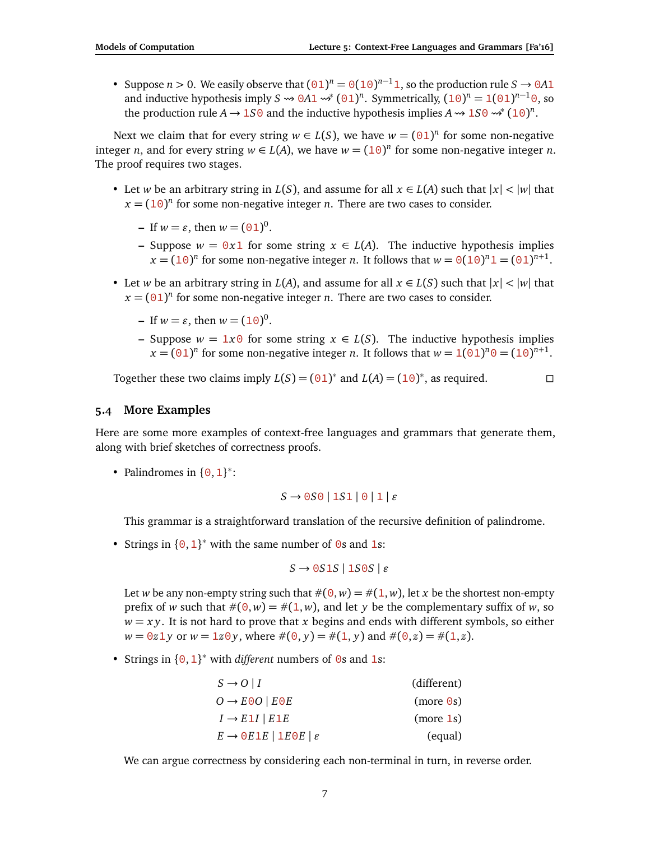• Suppose *n* > 0. We easily observe that  $(01)^n = 0(10)^{n-1}$ , so the production rule  $S \to 0A1$ and inductive hypothesis imply  $S \rightsquigarrow 0A1 \rightsquigarrow^* (01)^n$ . Symmetrically,  $(10)^n = 1(01)^{n-1}0$ , so the production rule  $A \rightarrow 150$  and the inductive hypothesis implies  $A \rightarrow 150 \rightsquigarrow^* (10)^n$ .

Next we claim that for every string  $w \in L(S)$ , we have  $w = (01)^n$  for some non-negative integer *n*, and for every string  $w \in L(A)$ , we have  $w = (10)^n$  for some non-negative integer *n*. The proof requires two stages.

- Let *w* be an arbitrary string in *L*(*S*), and assume for all  $x \in L(A)$  such that  $|x| < |w|$  that  $x = (10)^n$  for some non-negative integer *n*. There are two cases to consider.
	- $-$  If  $w = \varepsilon$ , then  $w = (01)^0$ .
	- **–** Suppose *<sup>w</sup>* <sup>=</sup> 0*x*1 for some string *<sup>x</sup>* <sup>∈</sup> *<sup>L</sup>*(*A*). The inductive hypothesis implies  $x = (10)^n$  for some non-negative integer *n*. It follows that  $w = \Theta(10)^n 1 = (\Theta 1)^{n+1}$ .
- Let *w* be an arbitrary string in *L*(*A*), and assume for all  $x \in L(S)$  such that  $|x| < |w|$  that  $x = (01)^n$  for some non-negative integer *n*. There are two cases to consider.
	- $-$  If  $w = \varepsilon$ , then  $w = (10)^0$ .
	- **–** Suppose *<sup>w</sup>* <sup>=</sup> 1*x*0 for some string *<sup>x</sup>* <sup>∈</sup> *<sup>L</sup>*(*S*). The inductive hypothesis implies  $x = (01)^n$  for some non-negative integer *n*. It follows that  $w = 1(01)^n 0 = (10)^{n+1}$ .

Together these two claims imply  $L(S) = (01)^*$  and  $L(A) = (10)^*$ , as required.

## **5.4 More Examples**

Here are some more examples of context-free languages and grammars that generate them, along with brief sketches of correctness proofs.

• Palindromes in  $\{0, 1\}^*$ :

$$
S \rightarrow 0S0 \mid 1S1 \mid 0 \mid 1 \mid \varepsilon
$$

This grammar is a straightforward translation of the recursive definition of palindrome.

• Strings in  $\{0, 1\}^*$  with the same number of 0s and 1s:

$$
S \to 0S1S \mid 1S0S \mid \varepsilon
$$

Let *w* be any non-empty string such that  $\#(0, w) = \#(1, w)$ , let *x* be the shortest non-empty prefix of *w* such that  $\#(\Theta, w) = \#(1, w)$ , and let *y* be the complementary suffix of *w*, so  $w = xy$ . It is not hard to prove that *x* begins and ends with different symbols, so either  $w = 0z1y$  or  $w = 1z0y$ , where  $\#(0, y) = \#(1, y)$  and  $\#(0, z) = \#(1, z)$ .

• Strings in {0,1} <sup>∗</sup> with *different* numbers of 0s and 1s:

| $S \rightarrow O \mid I$                                    | (different) |
|-------------------------------------------------------------|-------------|
| $O \rightarrow EOO   E0E$                                   | (more 0s)   |
| $I \rightarrow E1I$   $E1E$                                 | (more 1s)   |
| $E \rightarrow \Theta E 1E$   1E $\Theta E$   $\varepsilon$ | (equal)     |

We can argue correctness by considering each non-terminal in turn, in reverse order.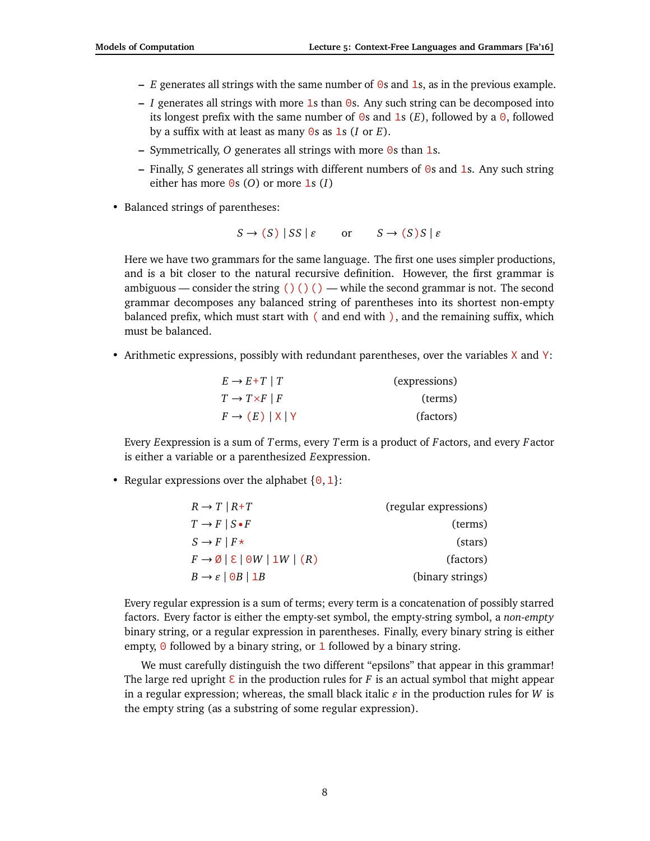- **–** *E* generates all strings with the same number of 0s and 1s, as in the previous example.
- **–** *I* generates all strings with more 1s than 0s. Any such string can be decomposed into its longest prefix with the same number of  $\Theta$ s and 1s  $(E)$ , followed by a  $\Theta$ , followed by a suffix with at least as many 0s as 1s (*I* or *E*).
- **–** Symmetrically, *O* generates all strings with more 0s than 1s.
- **–** Finally, *S* generates all strings with different numbers of 0s and 1s. Any such string either has more  $\Theta$ s (*O*) or more **1**s (*I*)
- Balanced strings of parentheses:

$$
S \to (S) | SS | \varepsilon \quad \text{or} \quad S \to (S) S | \varepsilon
$$

Here we have two grammars for the same language. The first one uses simpler productions, and is a bit closer to the natural recursive definition. However, the first grammar is ambiguous — consider the string ()()() — while the second grammar is not. The second grammar decomposes any balanced string of parentheses into its shortest non-empty balanced prefix, which must start with ( and end with ), and the remaining suffix, which must be balanced.

• Arithmetic expressions, possibly with redundant parentheses, over the variables X and Y:

| $E \rightarrow E+T \mid T$        | (expressions) |
|-----------------------------------|---------------|
| $T \rightarrow T \times F \mid F$ | (terms)       |
| $F \rightarrow (E)  X Y$          | (factors)     |

Every *E*expression is a sum of *T*erms, every *T*erm is a product of *F*actors, and every *F*actor is either a variable or a parenthesized *E*expression.

• Regular expressions over the alphabet  $\{0, 1\}$ :

| $R \rightarrow T \mid R+T$                                         | (regular expressions) |
|--------------------------------------------------------------------|-----------------------|
| $T \rightarrow F \mid S \bullet F$                                 | (terms)               |
| $S \rightarrow F \mid F \star$                                     | (stars)               |
| $F \rightarrow \emptyset$   $\epsilon$   $\Theta W$   $1W$   $(R)$ | (factors)             |
| $B \rightarrow \varepsilon \mid \Theta B \mid \Delta B$            | (binary strings)      |

Every regular expression is a sum of terms; every term is a concatenation of possibly starred factors. Every factor is either the empty-set symbol, the empty-string symbol, a *non-empty* binary string, or a regular expression in parentheses. Finally, every binary string is either empty,  $\Theta$  followed by a binary string, or 1 followed by a binary string.

We must carefully distinguish the two different "epsilons" that appear in this grammar! The large red upright  $\epsilon$  in the production rules for *F* is an actual symbol that might appear in a regular expression; whereas, the small black italic  $\varepsilon$  in the production rules for *W* is the empty string (as a substring of some regular expression).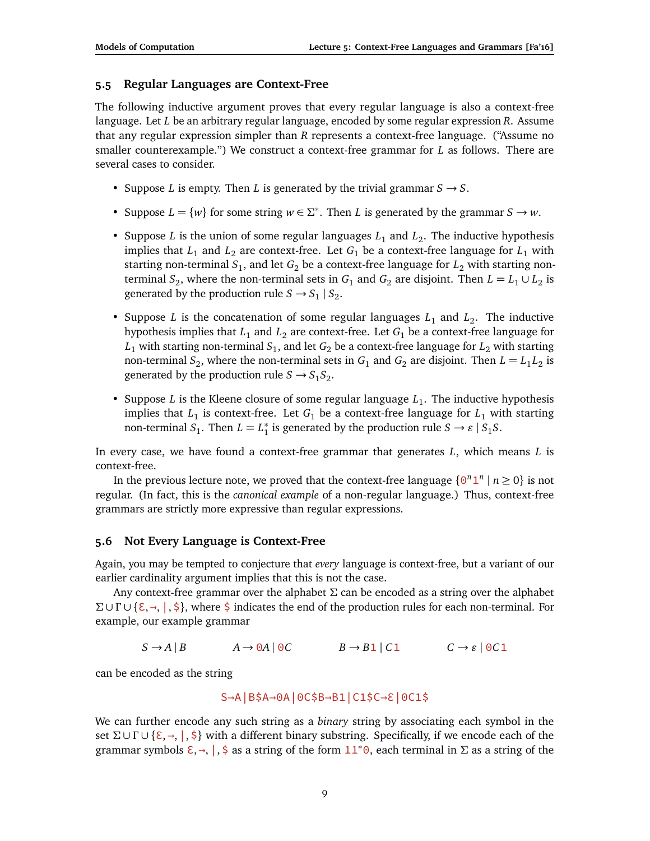# **5.5 Regular Languages are Context-Free**

The following inductive argument proves that every regular language is also a context-free language. Let *L* be an arbitrary regular language, encoded by some regular expression *R*. Assume that any regular expression simpler than *R* represents a context-free language. ("Assume no smaller counterexample.") We construct a context-free grammar for *L* as follows. There are several cases to consider.

- Suppose *L* is empty. Then *L* is generated by the trivial grammar  $S \rightarrow S$ .
- Suppose  $L = \{w\}$  for some string  $w \in \Sigma^*$ . Then *L* is generated by the grammar  $S \to w$ .
- Suppose *L* is the union of some regular languages  $L_1$  and  $L_2$ . The inductive hypothesis implies that  $L_1$  and  $L_2$  are context-free. Let  $G_1$  be a context-free language for  $L_1$  with starting non-terminal  $S_1$ , and let  $G_2$  be a context-free language for  $L_2$  with starting nonterminal  $S_2$ , where the non-terminal sets in  $G_1$  and  $G_2$  are disjoint. Then  $L = L_1 \cup L_2$  is generated by the production rule  $S \rightarrow S_1 \mid S_2$ .
- Suppose *L* is the concatenation of some regular languages  $L_1$  and  $L_2$ . The inductive hypothesis implies that  $L_1$  and  $L_2$  are context-free. Let  $G_1$  be a context-free language for  $L_1$  with starting non-terminal  $S_1$ , and let  $G_2$  be a context-free language for  $L_2$  with starting non-terminal  $S_2$ , where the non-terminal sets in  $G_1$  and  $G_2$  are disjoint. Then  $L = L_1 L_2$  is generated by the production rule  $S \rightarrow S_1 S_2$ .
- Suppose  $L$  is the Kleene closure of some regular language  $L_1$ . The inductive hypothesis implies that  $L_1$  is context-free. Let  $G_1$  be a context-free language for  $L_1$  with starting non-terminal  $S_1$ . Then  $L = L_1^*$  $\frac{1}{1}$  is generated by the production rule *S*  $\rightarrow \varepsilon$  | *S*<sub>1</sub>*S*.

In every case, we have found a context-free grammar that generates *L*, which means *L* is context-free.

In the previous lecture note, we proved that the context-free language  $\{0^n 1^n \mid n \ge 0\}$  is not regular. (In fact, this is the *canonical example* of a non-regular language.) Thus, context-free grammars are strictly more expressive than regular expressions.

# **5.6 Not Every Language is Context-Free**

Again, you may be tempted to conjecture that *every* language is context-free, but a variant of our earlier cardinality argument implies that this is not the case.

Any context-free grammar over the alphabet *Σ* can be encoded as a string over the alphabet *Σ* ∪ *Γ* ∪ {ε, →, |, \$}, where \$ indicates the end of the production rules for each non-terminal. For example, our example grammar

 $S \rightarrow A \mid B$   $A \rightarrow 0A \mid 0C$   $B \rightarrow B1 \mid C1$   $C \rightarrow \varepsilon \mid 0C1$ 

can be encoded as the string

$$
S \rightarrow A | B \$A \rightarrow 0A | 0C \$B \rightarrow B1 | C1 \$C \rightarrow E | 0C1 \$
$$

We can further encode any such string as a *binary* string by associating each symbol in the set  $\Sigma \cup \Gamma \cup \{\epsilon, \rightarrow, \cdot\}$  with a different binary substring. Specifically, if we encode each of the grammar symbols  $\xi, \rightarrow, |$ ,  $\xi$  as a string of the form  $11^*0$ , each terminal in  $\Sigma$  as a string of the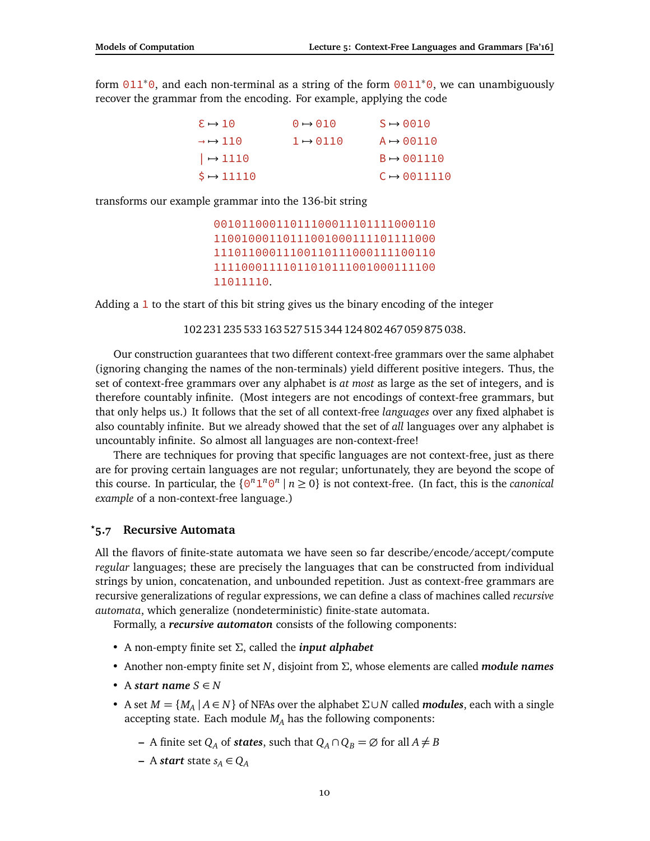form  $011*0$ , and each non-terminal as a string of the form  $0011*0$ , we can unambiguously recover the grammar from the encoding. For example, applying the code

| $\epsilon \mapsto 10$               | $\Theta \rightarrow \Theta$ 10 | $S \rightarrow 0010$    |
|-------------------------------------|--------------------------------|-------------------------|
| $\rightarrow$ $\rightarrow$ 110     | $1 \mapsto 0110$               | $A \rightarrow 00110$   |
| $\vert \rightarrow 1110$            |                                | $B \rightarrow 001110$  |
| $\ddot{\text{S}} \rightarrow 11110$ |                                | $C \rightarrow 0011110$ |

transforms our example grammar into the 136-bit string

```
00101100011011100011101111000110
11001000110111001000111101111000
11101100011100110111000111100110
11110001111011010111001000111100
11011110.
```
Adding a 1 to the start of this bit string gives us the binary encoding of the integer

102 231 235 533 163 527 515 344 124 802 467 059 875 038.

Our construction guarantees that two different context-free grammars over the same alphabet (ignoring changing the names of the non-terminals) yield different positive integers. Thus, the set of context-free grammars over any alphabet is *at most* as large as the set of integers, and is therefore countably infinite. (Most integers are not encodings of context-free grammars, but that only helps us.) It follows that the set of all context-free *languages* over any fixed alphabet is also countably infinite. But we already showed that the set of *all* languages over any alphabet is uncountably infinite. So almost all languages are non-context-free!

There are techniques for proving that specific languages are not context-free, just as there are for proving certain languages are not regular; unfortunately, they are beyond the scope of this course. In particular, the  $\{ \Theta^n 1^n \Theta^n \mid n \ge 0 \}$  is not context-free. (In fact, this is the *canonical example* of a non-context-free language.)

#### **5.7 Recursive Automata** *?*

All the flavors of finite-state automata we have seen so far describe/encode/accept/compute *regular* languages; these are precisely the languages that can be constructed from individual strings by union, concatenation, and unbounded repetition. Just as context-free grammars are recursive generalizations of regular expressions, we can define a class of machines called *recursive automata*, which generalize (nondeterministic) finite-state automata.

Formally, a *recursive automaton* consists of the following components:

- A non-empty finite set *Σ*, called the *input alphabet*
- Another non-empty finite set *N*, disjoint from *Σ*, whose elements are called *module names*
- A *start name*  $S \in N$
- A set *M* = {*M<sup>A</sup>* | *A* ∈ *N*} of NFAs over the alphabet *Σ*∪*N* called *modules*, each with a single accepting state. Each module  $M_A$  has the following components:
	- **−** A finite set  $Q_A$  of *states*, such that  $Q_A \cap Q_B = \emptyset$  for all  $A \neq B$
	- **−** A *start* state  $s_A$  ∈  $Q_A$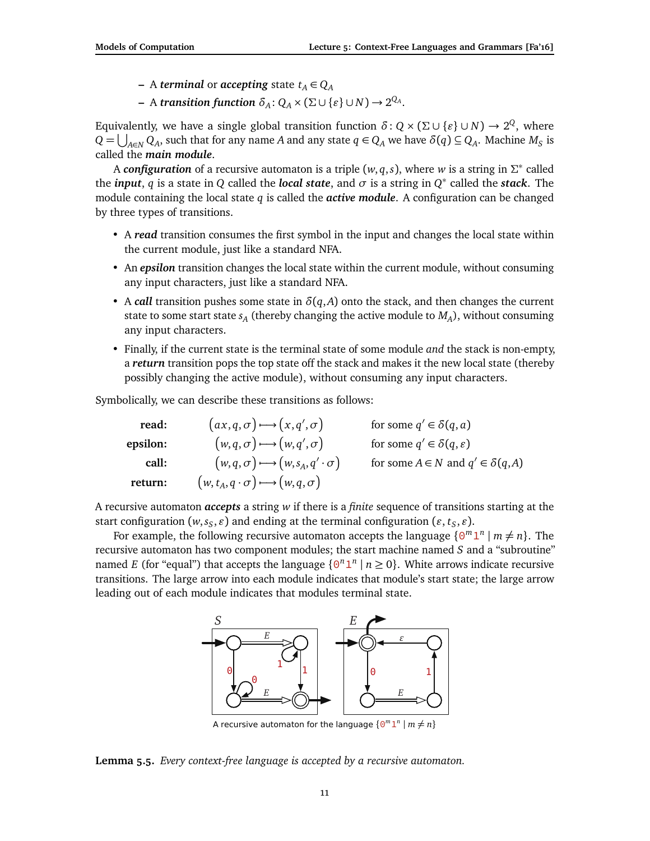- **−** A *terminal* or *accepting* state  $t_A \in Q_A$
- $-$  A *transition function*  $\delta_A$ :  $Q_A \times (\Sigma \cup \{\varepsilon\} \cup N) \rightarrow 2^{Q_A}$ .

Equivalently, we have a single global transition function  $\delta$  :  $Q \times (\Sigma \cup \{\varepsilon\} \cup N) \to 2^Q$ , where  $Q = \bigcup_{A \in N} Q_A$ , such that for any name *A* and any state  $q \in Q_A$  we have  $\delta(q) \subseteq Q_A$ . Machine  $M_S$  is called the *main module*.

A *configuration* of a recursive automaton is a triple (*w*, *q*,*s*), where *w* is a string in *Σ* ∗ called the *input*, *q* is a state in *Q* called the *local state*, and  $\sigma$  is a string in  $Q^*$  called the *stack*. The module containing the local state *q* is called the *active module*. A configuration can be changed by three types of transitions.

- A *read* transition consumes the first symbol in the input and changes the local state within the current module, just like a standard NFA.
- An *epsilon* transition changes the local state within the current module, without consuming any input characters, just like a standard NFA.
- A *call* transition pushes some state in  $\delta(q, A)$  onto the stack, and then changes the current state to some start state *s<sup>A</sup>* (thereby changing the active module to *M<sup>A</sup>* ), without consuming any input characters.
- Finally, if the current state is the terminal state of some module *and* the stack is non-empty, a *return* transition pops the top state off the stack and makes it the new local state (thereby possibly changing the active module), without consuming any input characters.

Symbolically, we can describe these transitions as follows:

| read:    | $(ax,q,\sigma) \rightarrow (x,q',\sigma)$              | for some $q' \in \delta(q, a)$               |
|----------|--------------------------------------------------------|----------------------------------------------|
| epsilon: | $(w,q,\sigma) \rightarrow (w,q',\sigma)$               | for some $q' \in \delta(q, \varepsilon)$     |
| call:    | $(w, q, \sigma) \rightarrow (w, s_A, q' \cdot \sigma)$ | for some $A \in N$ and $q' \in \delta(q, A)$ |
| return:  | $(w, t_A, q \cdot \sigma) \rightarrow (w, q, \sigma)$  |                                              |

A recursive automaton *accepts* a string *w* if there is a *finite* sequence of transitions starting at the start configuration  $(w, s_S, \varepsilon)$  and ending at the terminal configuration  $(\varepsilon, t_S, \varepsilon)$ .

For example, the following recursive automaton accepts the language  $\{0^m1^n \mid m \neq n\}$ . The recursive automaton has two component modules; the start machine named *S* and a "subroutine" named *E* (for "equal") that accepts the language  $\{0^n 1^n \mid n \ge 0\}$ . White arrows indicate recursive transitions. The large arrow into each module indicates that module's start state; the large arrow leading out of each module indicates that modules terminal state.



A recursive automaton for the language  $\{ \Theta^m 1^n \mid m \neq n \}$ 

**Lemma 5.5.** *Every context-free language is accepted by a recursive automaton.*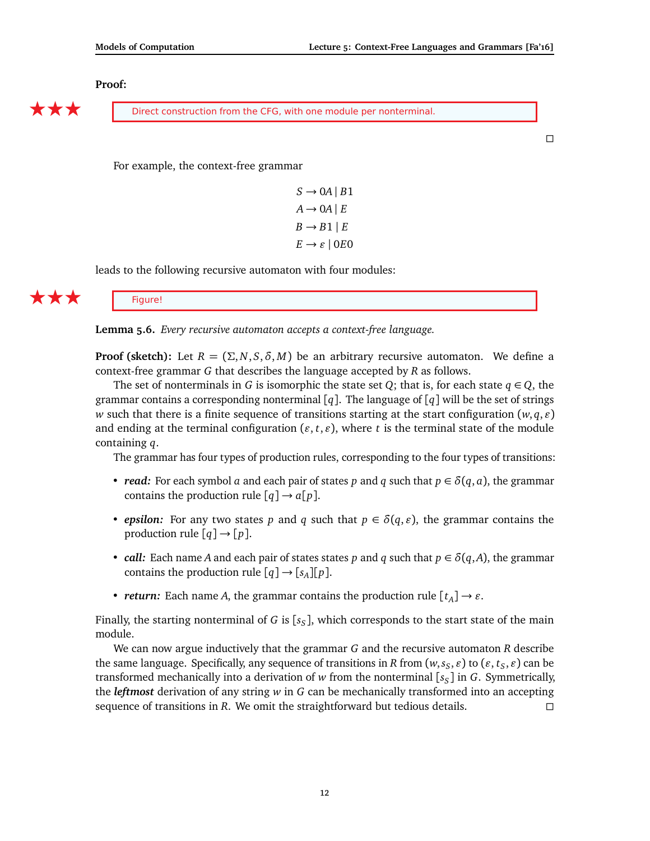#### **Proof:**

**EXECUTE:** Direct construction from the CFG, with one module per nonterminal.

 $\Box$ 

For example, the context-free grammar

 $S \rightarrow 0A \mid B1$  $A \rightarrow 0A \mid E$  $B \rightarrow B1 \mid E$  $E \rightarrow \varepsilon$  | 0*E*<sup>0</sup>

leads to the following recursive automaton with four modules:

 $\bigstar \bigstar \bigstar$  Figure!

**Lemma 5.6.** *Every recursive automaton accepts a context-free language.*

**Proof (sketch):** Let  $R = (\Sigma, N, S, \delta, M)$  be an arbitrary recursive automaton. We define a context-free grammar *G* that describes the language accepted by *R* as follows.

The set of nonterminals in *G* is isomorphic the state set *Q*; that is, for each state  $q \in Q$ , the grammar contains a corresponding nonterminal  $\lceil q \rceil$ . The language of  $\lceil q \rceil$  will be the set of strings *w* such that there is a finite sequence of transitions starting at the start configuration  $(w, q, \varepsilon)$ and ending at the terminal configuration ( $\varepsilon$ ,  $t$ ,  $\varepsilon$ ), where  $t$  is the terminal state of the module containing *q*.

The grammar has four types of production rules, corresponding to the four types of transitions:

- *read:* For each symbol *a* and each pair of states *p* and *q* such that  $p \in \delta(q, a)$ , the grammar contains the production rule  $[q] \rightarrow a[p]$ .
- *epsilon:* For any two states *p* and *q* such that  $p \in \delta(q, \varepsilon)$ , the grammar contains the production rule  $[q] \rightarrow [p]$ .
- *call:* Each name *A* and each pair of states states *p* and *q* such that  $p \in \delta(q, A)$ , the grammar contains the production rule  $[q] \rightarrow [s_A][p]$ .
- *return:* Each name *A*, the grammar contains the production rule  $[t_A] \rightarrow \varepsilon$ .

Finally, the starting nonterminal of *G* is [*s<sup>S</sup>* ], which corresponds to the start state of the main module.

We can now argue inductively that the grammar *G* and the recursive automaton *R* describe the same language. Specifically, any sequence of transitions in *R* from  $(w, s_S, \varepsilon)$  to  $(\varepsilon, t_S, \varepsilon)$  can be transformed mechanically into a derivation of *w* from the nonterminal [*s<sup>S</sup>* ] in *G*. Symmetrically, the *leftmost* derivation of any string *w* in *G* can be mechanically transformed into an accepting sequence of transitions in *R*. We omit the straightforward but tedious details.  $\square$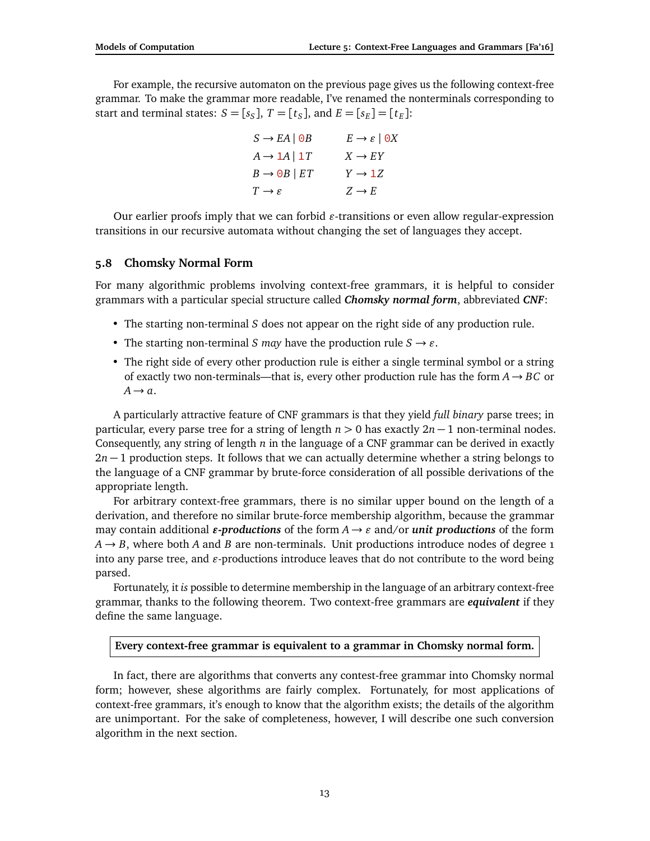For example, the recursive automaton on the previous page gives us the following context-free grammar. To make the grammar more readable, I've renamed the nonterminals corresponding to start and terminal states:  $S = [s_S]$ ,  $T = [t_S]$ , and  $E = [s_E] = [t_E]$ :

$$
S \to EA | \Theta B \qquad E \to \varepsilon | \Theta X
$$
  

$$
A \to 1A | 1T \qquad X \to EY
$$
  

$$
B \to \Theta B | ET \qquad Y \to 1Z
$$
  

$$
T \to \varepsilon \qquad Z \to E
$$

Our earlier proofs imply that we can forbid  $\varepsilon$ -transitions or even allow regular-expression transitions in our recursive automata without changing the set of languages they accept.

## **5.8 Chomsky Normal Form**

For many algorithmic problems involving context-free grammars, it is helpful to consider grammars with a particular special structure called *Chomsky normal form*, abbreviated *CNF*:

- The starting non-terminal *S* does not appear on the right side of any production rule.
- The starting non-terminal *S may* have the production rule  $S \rightarrow \varepsilon$ .
- The right side of every other production rule is either a single terminal symbol or a string of exactly two non-terminals—that is, every other production rule has the form  $A \rightarrow BC$  or  $A \rightarrow a$ .

A particularly attractive feature of CNF grammars is that they yield *full binary* parse trees; in particular, every parse tree for a string of length *n >* 0 has exactly 2*n* − 1 non-terminal nodes. Consequently, any string of length *n* in the language of a CNF grammar can be derived in exactly 2*n* − 1 production steps. It follows that we can actually determine whether a string belongs to the language of a CNF grammar by brute-force consideration of all possible derivations of the appropriate length.

For arbitrary context-free grammars, there is no similar upper bound on the length of a derivation, and therefore no similar brute-force membership algorithm, because the grammar may contain additional *e***-productions** of the form  $A \rightarrow \varepsilon$  and/or *unit productions* of the form  $A \rightarrow B$ , where both *A* and *B* are non-terminals. Unit productions introduce nodes of degree 1 into any parse tree, and  $\varepsilon$ -productions introduce leaves that do not contribute to the word being parsed.

Fortunately, it *is* possible to determine membership in the language of an arbitrary context-free grammar, thanks to the following theorem. Two context-free grammars are *equivalent* if they define the same language.

### **Every context-free grammar is equivalent to a grammar in Chomsky normal form.**

In fact, there are algorithms that converts any contest-free grammar into Chomsky normal form; however, shese algorithms are fairly complex. Fortunately, for most applications of context-free grammars, it's enough to know that the algorithm exists; the details of the algorithm are unimportant. For the sake of completeness, however, I will describe one such conversion algorithm in the next section.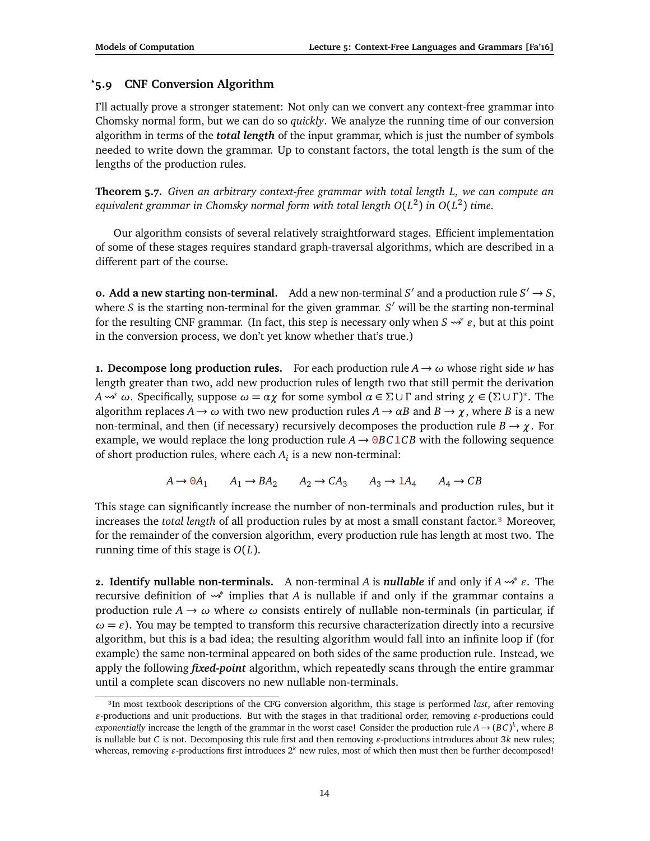# *?***5.9 CNF Conversion Algorithm**

I'll actually prove a stronger statement: Not only can we convert any context-free grammar into Chomsky normal form, but we can do so *quickly*. We analyze the running time of our conversion algorithm in terms of the *total length* of the input grammar, which is just the number of symbols needed to write down the grammar. Up to constant factors, the total length is the sum of the lengths of the production rules.

**Theorem 5.7.** *Given an arbitrary context-free grammar with total length L, we can compute an equivalent grammar in Chomsky normal form with total length O*(*L* 2 ) *in O*(*L* 2 ) *time.*

Our algorithm consists of several relatively straightforward stages. Efficient implementation of some of these stages requires standard graph-traversal algorithms, which are described in a different part of the course.

**0. Add a new starting non-terminal.** Add a new non-terminal  $S'$  and a production rule  $S' \rightarrow S$ , where *S* is the starting non-terminal for the given grammar. *S'* will be the starting non-terminal for the resulting CNF grammar. (In fact, this step is necessary only when  $S \rightsquigarrow^* \varepsilon$ , but at this point in the conversion process, we don't yet know whether that's true.)

**1. Decompose long production rules.** For each production rule  $A \rightarrow \omega$  whose right side *w* has length greater than two, add new production rules of length two that still permit the derivation *A*  $→^*$  *ω*. Specifically, suppose  $ω = αχ$  for some symbol  $α ∈ Σ ∪ Γ$  and string  $χ ∈ (Σ ∪ Γ)^*$ . The algorithm replaces  $A \rightarrow \omega$  with two new production rules  $A \rightarrow \alpha B$  and  $B \rightarrow \chi$ , where *B* is a new non-terminal, and then (if necessary) recursively decomposes the production rule  $B \to \gamma$ . For example, we would replace the long production rule  $A \rightarrow \theta B C 1 C B$  with the following sequence of short production rules, where each *A<sup>i</sup>* is a new non-terminal:

$$
A \to 0A_1 \qquad A_1 \to BA_2 \qquad A_2 \to CA_3 \qquad A_3 \to 1A_4 \qquad A_4 \to CB
$$

This stage can significantly increase the number of non-terminals and production rules, but it increases the *total length* of all production rules by at most a small constant factor.<sup>3</sup> Moreover, for the remainder of the conversion algorithm, every production rule has length at most two. The running time of this stage is *O*(*L*).

**2. Identify nullable non-terminals.** A non-terminal *A* is *nullable* if and only if  $A \rightarrow^* \varepsilon$ . The recursive definition of <sup>∗</sup> implies that *A* is nullable if and only if the grammar contains a production rule  $A \rightarrow \omega$  where  $\omega$  consists entirely of nullable non-terminals (in particular, if  $\omega = \varepsilon$ ). You may be tempted to transform this recursive characterization directly into a recursive algorithm, but this is a bad idea; the resulting algorithm would fall into an infinite loop if (for example) the same non-terminal appeared on both sides of the same production rule. Instead, we apply the following *fixed-point* algorithm, which repeatedly scans through the entire grammar until a complete scan discovers no new nullable non-terminals.

<span id="page-13-0"></span>³In most textbook descriptions of the CFG conversion algorithm, this stage is performed *last*, after removing  $\varepsilon$ -productions and unit productions. But with the stages in that traditional order, removing  $\varepsilon$ -productions could *exponentially* increase the length of the grammar in the worst case! Consider the production rule  $A \to (BC)^k$ , where *B* is nullable but *C* is not. Decomposing this rule first and then removing  $\varepsilon$ -productions introduces about 3*k* new rules; whereas, removing  $\varepsilon$ -productions first introduces  $2^k$  new rules, most of which then must then be further decomposed!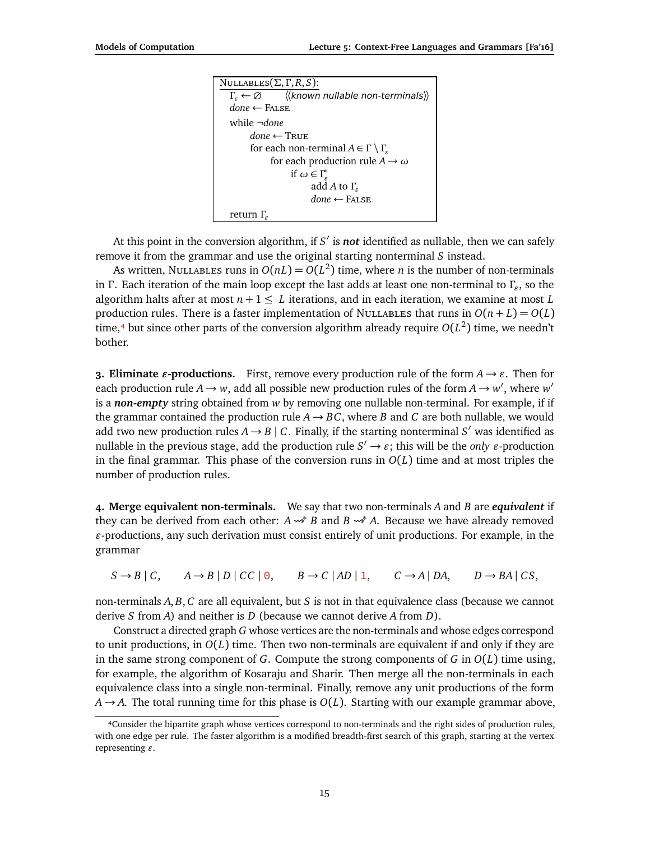| NULLABLES $(\Sigma, \Gamma, R, S)$ :                                   |
|------------------------------------------------------------------------|
| $\Gamma_{\rm s} \leftarrow \emptyset$ ((known nullable non-terminals)) |
| $done \leftarrow$ FALSE                                                |
| while $\neg done$                                                      |
| done $\leftarrow$ True                                                 |
| for each non-terminal $A \in \Gamma \setminus \Gamma_{\varepsilon}$    |
| for each production rule $A \rightarrow \omega$                        |
| if $\omega \in \Gamma_{\alpha}^*$                                      |
| add A to $\Gamma_{\epsilon}$                                           |
| $done \leftarrow$ FALSE                                                |
| return $\Gamma_c$                                                      |

At this point in the conversion algorithm, if *S'* is **not** identified as nullable, then we can safely remove it from the grammar and use the original starting nonterminal *S* instead.

As written, Nullables runs in  $O(nL) = O(L^2)$  time, where *n* is the number of non-terminals in *Γ* . Each iteration of the main loop except the last adds at least one non-terminal to *Γ"* , so the algorithm halts after at most  $n + 1 \leq L$  iterations, and in each iteration, we examine at most L production rules. There is a faster implementation of NULLABLES that runs in  $O(n+L) = O(L)$ time, $^4$  but since other parts of the conversion algorithm already require  $O(L^2)$  time, we needn't bother.

**3. Eliminate** *ε***-productions.** First, remove every production rule of the form  $A \rightarrow \varepsilon$ . Then for each production rule  $A \rightarrow w$ , add all possible new production rules of the form  $A \rightarrow w'$ , where  $w'$ is a *non-empty* string obtained from *w* by removing one nullable non-terminal. For example, if if the grammar contained the production rule  $A \rightarrow BC$ , where *B* and *C* are both nullable, we would add two new production rules  $A \rightarrow B \mid C$ . Finally, if the starting nonterminal  $S'$  was identified as nullable in the previous stage, add the production rule  $S' \to \varepsilon$ ; this will be the *only*  $\varepsilon$ -production in the final grammar. This phase of the conversion runs in *O*(*L*) time and at most triples the number of production rules.

**4. Merge equivalent non-terminals.** We say that two non-terminals *A* and *B* are *equivalent* if they can be derived from each other:  $A \rightarrow B$  and  $B \rightarrow A$ . Because we have already removed  $\varepsilon$ -productions, any such derivation must consist entirely of unit productions. For example, in the grammar

 $S \rightarrow B \mid C$ ,  $A \rightarrow B \mid D \mid CC \mid 0$ ,  $B \rightarrow C \mid AD \mid 1$ ,  $C \rightarrow A \mid DA$ ,  $D \rightarrow BA \mid CS$ ,

non-terminals *A*, *B*, *C* are all equivalent, but *S* is not in that equivalence class (because we cannot derive *S* from *A*) and neither is *D* (because we cannot derive *A* from *D*).

Construct a directed graph *G* whose vertices are the non-terminals and whose edges correspond to unit productions, in *O*(*L*) time. Then two non-terminals are equivalent if and only if they are in the same strong component of *G*. Compute the strong components of *G* in *O*(*L*) time using, for example, the algorithm of Kosaraju and Sharir. Then merge all the non-terminals in each equivalence class into a single non-terminal. Finally, remove any unit productions of the form  $A \rightarrow A$ . The total running time for this phase is  $O(L)$ . Starting with our example grammar above,

<span id="page-14-0"></span>⁴Consider the bipartite graph whose vertices correspond to non-terminals and the right sides of production rules, with one edge per rule. The faster algorithm is a modified breadth-first search of this graph, starting at the vertex representing  $\varepsilon$ .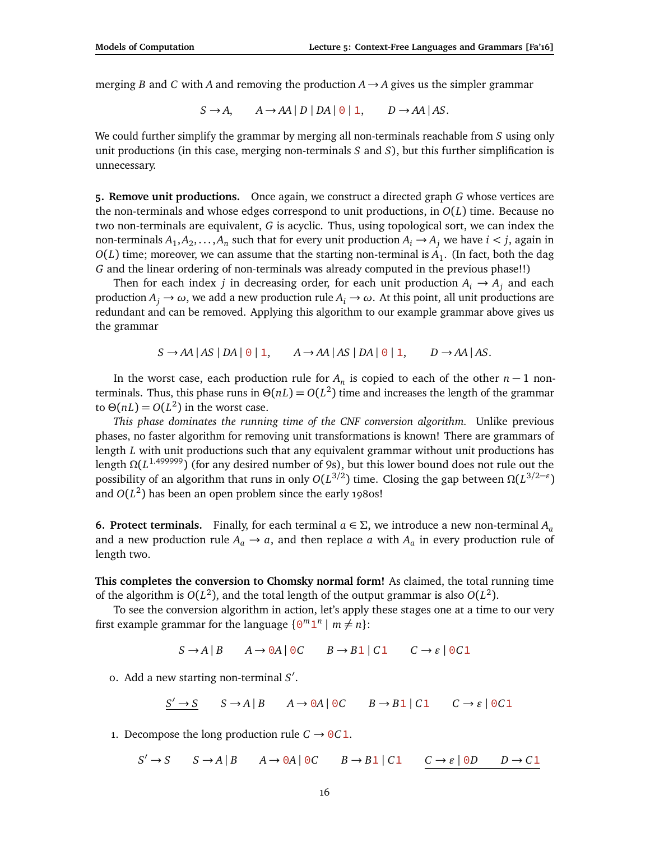merging *B* and *C* with *A* and removing the production  $A \rightarrow A$  gives us the simpler grammar

$$
S \to A, \qquad A \to AA \mid D \mid DA \mid \Theta \mid 1, \qquad D \to AA \mid AS.
$$

We could further simplify the grammar by merging all non-terminals reachable from *S* using only unit productions (in this case, merging non-terminals *S* and *S*), but this further simplification is unnecessary.

**5. Remove unit productions.** Once again, we construct a directed graph *G* whose vertices are the non-terminals and whose edges correspond to unit productions, in *O*(*L*) time. Because no two non-terminals are equivalent, *G* is acyclic. Thus, using topological sort, we can index the non-terminals  $A_1, A_2, \ldots, A_n$  such that for every unit production  $A_i \rightarrow A_j$  we have  $i < j$ , again in  $O(L)$  time; moreover, we can assume that the starting non-terminal is  $A_1$ . (In fact, both the dag *G* and the linear ordering of non-terminals was already computed in the previous phase!!)

Then for each index *j* in decreasing order, for each unit production  $A_i \rightarrow A_j$  and each production  $A_i \rightarrow \omega$ , we add a new production rule  $A_i \rightarrow \omega$ . At this point, all unit productions are redundant and can be removed. Applying this algorithm to our example grammar above gives us the grammar

 $S \rightarrow AA \mid AS \mid DA \mid 0 \mid 1, \quad A \rightarrow AA \mid AS \mid DA \mid 0 \mid 1, \quad D \rightarrow AA \mid AS.$ 

In the worst case, each production rule for  $A_n$  is copied to each of the other  $n-1$  nonterminals. Thus, this phase runs in *Θ*(*nL*) = *O*(*L* 2 ) time and increases the length of the grammar to  $\Theta(nL) = O(L^2)$  in the worst case.

*This phase dominates the running time of the CNF conversion algorithm.* Unlike previous phases, no faster algorithm for removing unit transformations is known! There are grammars of length *L* with unit productions such that any equivalent grammar without unit productions has length *Ω*(*L* 1.499999) (for any desired number of 9s), but this lower bound does not rule out the possibility of an algorithm that runs in only *O*(*L* 3*/*2 ) time. Closing the gap between *Ω*(*L* 3*/*2−*"* ) and  $O(L^2)$  has been an open problem since the early 1980s!

**6. Protect terminals.** Finally, for each terminal  $a \in \Sigma$ , we introduce a new non-terminal  $A_a$ and a new production rule  $A_a \rightarrow a$ , and then replace *a* with  $A_a$  in every production rule of length two.

**This completes the conversion to Chomsky normal form!** As claimed, the total running time of the algorithm is  $O(L^2)$ , and the total length of the output grammar is also  $O(L^2)$ .

To see the conversion algorithm in action, let's apply these stages one at a time to our very first example grammar for the language  $\{0^m1^n \mid m \neq n\}$ :

 $S \rightarrow A \mid B$   $A \rightarrow 0A \mid 0C$   $B \rightarrow B1 \mid C1$   $C \rightarrow \varepsilon \mid 0C1$ 

0. Add a new starting non-terminal *S* 0 .

$$
\underline{S' \rightarrow S} \qquad S \rightarrow A \mid B \qquad A \rightarrow 0A \mid 0C \qquad B \rightarrow B1 \mid C1 \qquad C \rightarrow \varepsilon \mid 0C1
$$

1. Decompose the long production rule  $C \rightarrow 0C1$ .

 $S' \rightarrow S$   $S \rightarrow A \mid B$   $A \rightarrow 0A \mid 0C$   $B \rightarrow B1 \mid C1$   $C \rightarrow \varepsilon \mid 0D$   $D \rightarrow C1$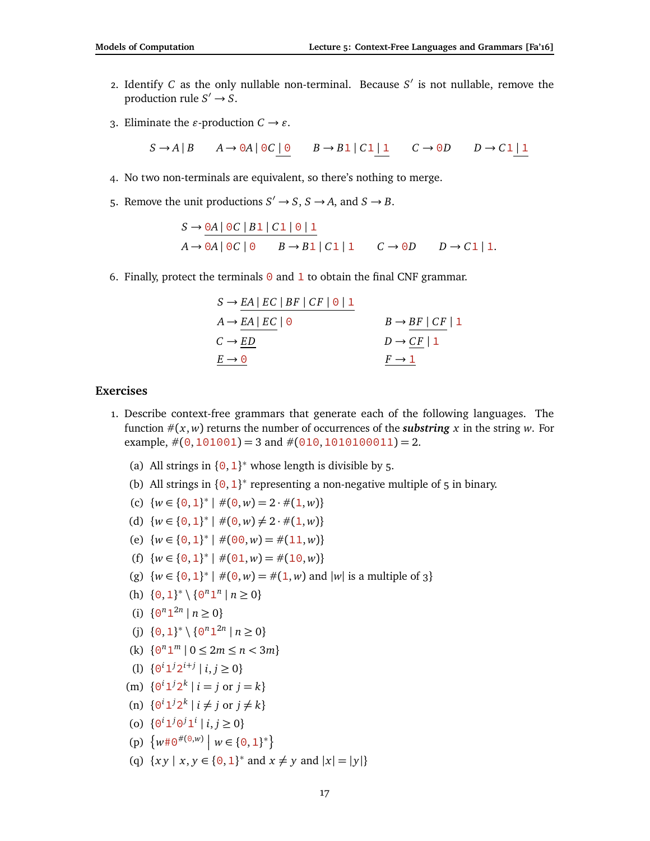- 2. Identify *C* as the only nullable non-terminal. Because  $S'$  is not nullable, remove the production rule  $S' \rightarrow S$ .
- 3. Eliminate the  $\varepsilon$ -production  $C \rightarrow \varepsilon$ .

$$
S \to A \mid B \qquad A \to 0A \mid 0C \mid 0 \qquad B \to B1 \mid C1 \mid 1 \qquad C \to 0D \qquad D \to C1 \mid 1
$$

- 4. No two non-terminals are equivalent, so there's nothing to merge.
- 5. Remove the unit productions  $S' \to S$ ,  $S \to A$ , and  $S \to B$ .

$$
S \to \frac{0A \mid 0C \mid B1 \mid C1 \mid 0 \mid 1}{0A \to 0A \mid 0C \mid 0} \qquad B \to B1 \mid C1 \mid 1 \qquad C \to 0D \qquad D \to C1 \mid 1.
$$

6. Finally, protect the terminals  $\Theta$  and  $\mathbf 1$  to obtain the final CNF grammar.

| $S \rightarrow EA \mid EC \mid BF \mid CF \mid \Theta \mid 1$ |                               |
|---------------------------------------------------------------|-------------------------------|
| $A \rightarrow EA \mid EC \mid \Theta$                        | $B \rightarrow BF$   $CF$   1 |
| $C \rightarrow ED$                                            | $D \rightarrow CF \mid 1$     |
| $E \rightarrow \Theta$                                        | $F \rightarrow 1$             |

## **Exercises**

- 1. Describe context-free grammars that generate each of the following languages. The function  $\#(x, w)$  returns the number of occurrences of the *substring* x in the string w. For example,  $\#(0,101001) = 3$  and  $\#(010,1010100011) = 2$ .
	- (a) All strings in  ${0, 1}^*$  whose length is divisible by 5.
	- (b) All strings in  ${0, 1}^*$  representing a non-negative multiple of 5 in binary.
	- (c)  $\{w \in \{0, 1\}^* \mid \#(0, w) = 2 \cdot \#(1, w)\}\)$
	- (d)  $\{w \in \{0, 1\}^* \mid \#(0, w) \neq 2 \cdot \#(1, w)\}\$
	- (e)  $\{w \in \{0, 1\}^* \mid \#(00, w) = \#(11, w)\}\$
	- (f)  $\{w \in \{0, 1\}^* \mid \#(0, 1, w) = \#(1, 0, w)\}$
	- (g)  $\{w \in \{0, 1\}^* \mid \#(0, w) = \#(1, w) \text{ and } |w| \text{ is a multiple of } 3\}$
	- (h)  $\{0, 1\}^* \setminus \{0^n 1^n \mid n \ge 0\}$
	- (i)  $\{0^n 1^{2n} \mid n \ge 0\}$
	- (j)  $\{0, 1\}^* \setminus \{0^n 1^{2n} \mid n \ge 0\}$
	- (k)  $\{0^n 1^m | 0 \le 2m \le n < 3m\}$
	- (1)  $\{0^i 1^j 2^{i+j} \mid i, j \ge 0\}$
	- (m)  $\{0^i 1^j 2^k \mid i = j \text{ or } j = k\}$
	- (n)  $\{0^i 1^j 2^k \mid i \neq j \text{ or } j \neq k\}$
	- (o)  $\{0^i 1^j 0^j 1^i \mid i, j \ge 0\}$
	- (p)  $\{w \# \Theta^{\#(\Theta,w)} \mid w \in \{0,1\}^*\}$
	- (q)  $\{xy \mid x, y \in \{0, 1\}^* \text{ and } x \neq y \text{ and } |x| = |y|\}$